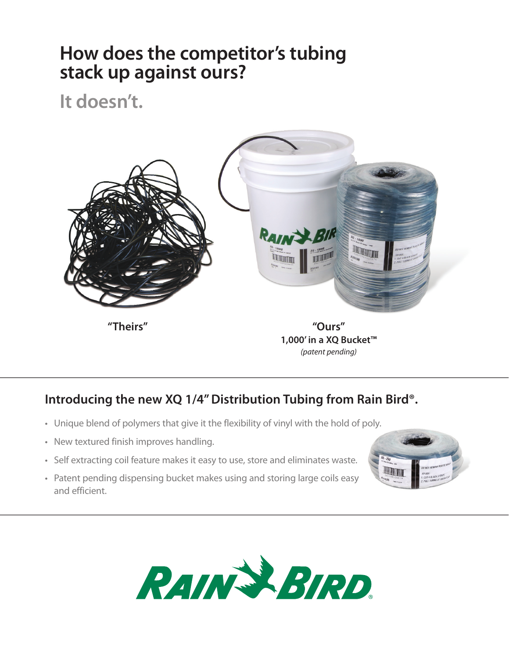## **How does the competitor's tubing stack up against ours?**

**It doesn't.**



### **Introducing the new XQ 1/4" Distribution Tubing from Rain Bird®.**

- Unique blend of polymers that give it the flexibility of vinyl with the hold of poly.
- New textured finish improves handling.
- Self extracting coil feature makes it easy to use, store and eliminates waste.
- Patent pending dispensing bucket makes using and storing large coils easy and efficient.